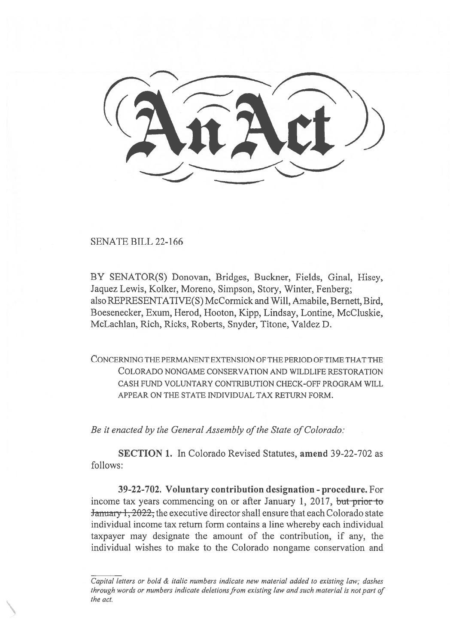SENATE BILL 22-166

BY SENATOR(S) Donovan, Bridges, Buckner, Fields, Ginal, Hisey, Jaquez Lewis, Kolker, Moreno, Simpson, Story, Winter, Fenberg; also REPRESENTATIVE(S) McCormick and Will, Amabile, Bernett, Bird, Boesenecker, Exum, Herod, Hooton, Kipp, Lindsay, Lontine, McCluskie, McLachlan, Rich, Ricks, Roberts, Snyder, Titone, Valdez D.

CONCERNING THE PERMANENT EXTENSION OF THE PERIOD OF TIME THAT THE COLORADO NONGAME CONSERVATION AND WILDLIFE RESTORATION CASH FUND VOLUNTARY CONTRIBUTION CHECK-OFF PROGRAM WILL APPEAR ON THE STATE INDIVIDUAL TAX RETURN FORM.

Be it enacted by the General Assembly of the State of Colorado:

SECTION 1. In Colorado Revised Statutes, amend 39-22-702 as follows:

39-22-702. Voluntary contribution designation - procedure. For income tax years commencing on or after January 1, 2017, but prior to January 1, 2022, the executive director shall ensure that each Colorado state individual income tax return form contains a line whereby each individual taxpayer may designate the amount of the contribution, if any, the individual wishes to make to the Colorado nongame conservation and

Capital letters or bold & italic numbers indicate new material added to existing law; dashes through words or numbers indicate deletions from existing law and such material is not part of the act.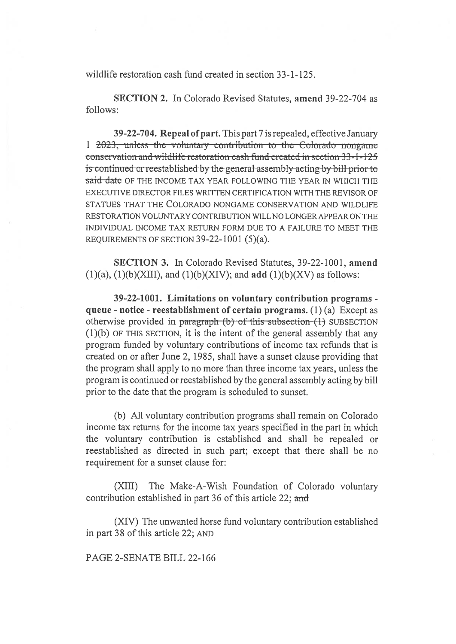wildlife restoration cash fund created in section 33-1-125.

**SECTION 2.** In Colorado Revised Statutes, amend 39-22-704 as follows:

39-22-704. Repeal of part, This part 7 is repealed, effective January 1 2023; unless the voluntary contribution to the Colorado nongame conservation and wildlife restoration cash fund created in section 33-1-125 is continued or reestablished by the general assembly acting by bill prior to said date OF THE INCOME TAX YEAR FOLLOWING THE YEAR IN WHICH THE EXECUTIVE DIRECTOR FILES WRITTEN CERTIFICATION WITH THE REVISOR OF STATUES THAT THE COLORADO NONGAME CONSERVATION AND WILDLIFE RESTORATION VOLUNTARY CONTRIBUTION WILL NO LONGER APPEAR ON THE INDIVIDUAL INCOME TAX RETURN FORM DUE TO A FAILURE TO MEET THE REQUIREMENTS OF SECTION 39-22-1001 (5)(a).

**SECTION 3.** In Colorado Revised Statutes, 39-22-1001, amend  $(1)(a)$ ,  $(1)(b)(XIII)$ , and  $(1)(b)(XIV)$ ; and add  $(1)(b)(XV)$  as follows:

39-22-1001. Limitations on voluntary contribution programs queue - notice - reestablishment of certain programs.  $(1)(a)$  Except as otherwise provided in paragraph (b) of this subsection (1) SUBSECTION (1)(b) OF THIS SECTION, it is the intent of the general assembly that any program funded by voluntary contributions of income tax refunds that is created on or after June 2, 1985, shall have a sunset clause providing that the program shall apply to no more than three income tax years, unless the program is continued or reestablished by the general assembly acting by bill prior to the date that the program is scheduled to sunset.

(b) All voluntary contribution programs shall remain on Colorado income tax returns for the income tax years specified in the part in which the voluntary contribution is established and shall be repealed or reestablished as directed in such part; except that there shall be no requirement for a sunset clause for:

The Make-A-Wish Foundation of Colorado voluntary  $(XIII)$ contribution established in part 36 of this article 22; and

(XIV) The unwanted horse fund voluntary contribution established in part 38 of this article 22; AND

PAGE 2-SENATE BILL 22-166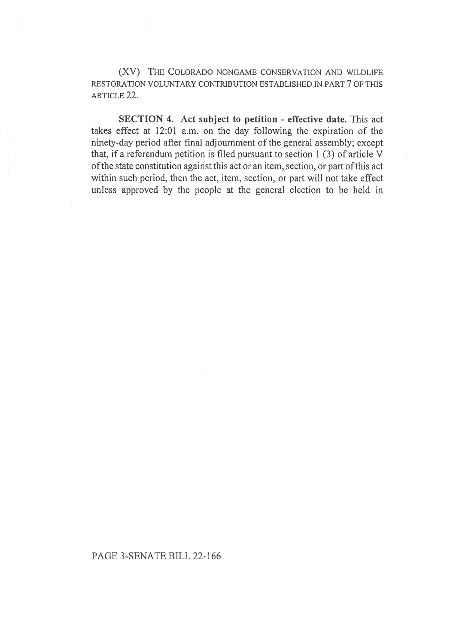(XV) THE COLORADO NONGAME CONSERVATION AND WILDLIFE RESTORATION VOLUNTARY CONTRIBUTION ESTABLISHED IN PART 7 OF THIS ARTICLE 22.

SECTION 4. Act subject to petition - effective date. This act takes effect at 12:01 a.m. on the day following the expiration of the ninety-day period after final adjournment of the general assembly; except that, if a referendum petition is filed pursuant to section 1 (3) of article V of the state constitution against this act or an item, section, or part of this act within such period, then the act, item, section, or part will not take effect unless approved by the people at the general election to be held in

PAGE 3-SENATE BILL 22-166